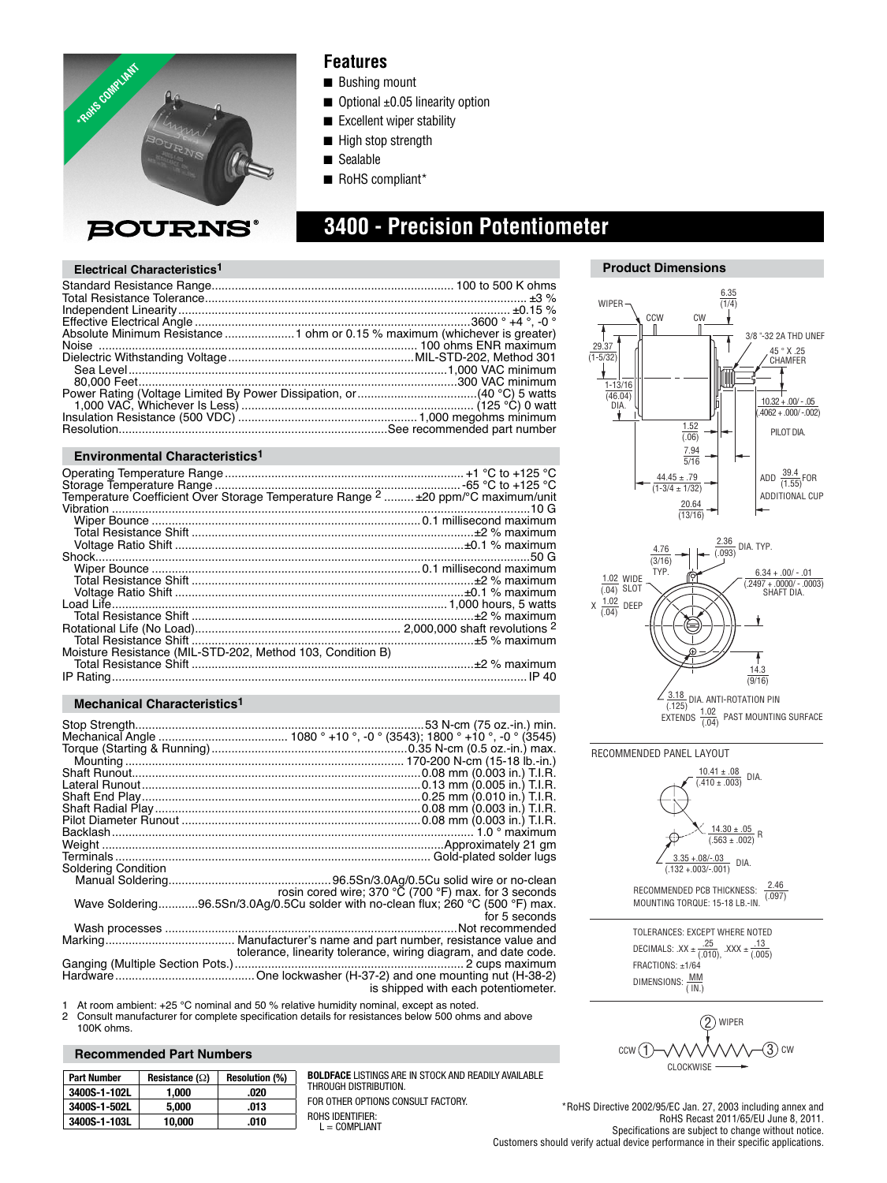

## **Features**

- Bushing mount
- $\Box$  Optional  $\pm 0.05$  linearity option
- Excellent wiper stability
- High stop strength
- Sealable
- RoHS compliant\*

# **3400 - Precision Potentiometer**

### **Electrical Characteristics1**

#### **Environmental Characteristics1**

| Moisture Resistance (MIL-STD-202, Method 103, Condition B) |  |
|------------------------------------------------------------|--|
|                                                            |  |
|                                                            |  |

#### **Mechanical Characteristics1**

| <b>Soldering Condition</b> |                                                                                  |
|----------------------------|----------------------------------------------------------------------------------|
|                            |                                                                                  |
|                            | rosin cored wire; 370 $\degree$ C (700 $\degree$ F) max. for 3 seconds           |
|                            | Wave Soldering96.5Sn/3.0Ag/0.5Cu solder with no-clean flux; 260 °C (500 °F) max. |
|                            | for 5 seconds                                                                    |
|                            | Not recommended                                                                  |
|                            |                                                                                  |
|                            | tolerance, linearity tolerance, wiring diagram, and date code.                   |
|                            |                                                                                  |
|                            |                                                                                  |
|                            | is shipped with each potentiometer.                                              |

1 At room ambient: +25 °C nominal and 50 % relative humidity nominal, except as noted.<br>2 Consult manufacturer for complete specification details for resistances below 500 ohms

Consult manufacturer for complete specification details for resistances below 500 ohms and above 100K ohms.

#### **Recommended Part Numbers**

| <b>Part Number</b> | Resistance $(\Omega)$ | <b>Resolution (%)</b> |
|--------------------|-----------------------|-----------------------|
| 3400S-1-102L       | 1.000                 | .020                  |
| 3400S-1-502L       | 5.000                 | .013                  |
| 3400S-1-103L       | 10.000                | .010                  |

**BOLDFACE** LISTINGS ARE IN STOCK AND READILY AVAILABLE THROUGH DISTRIBUTION.

FOR OTHER OPTIONS CONSULT FACTORY. ROHS IDENTIFIER:

 $L =$  COMPLIANT



**Product Dimensions**



TOLERANCES: EXCEPT WHERE NOTED DECIMALS: .XX  $\pm \frac{.25}{(.010)}$  $\text{XXX} \pm \frac{.16}{(.005)}$ FRACTIONS: ±1/64 DIMENSIONS:  $\frac{MM}{(1N)}$ 

 $(3)$  cw CLOCKWISE  $ccw(1)$ 2 WIPER

\*RoHS Directive 2002/95/EC Jan. 27, 2003 including annex and RoHS Recast 2011/65/EU June 8, 2011. Specifications are subject to change without notice. Customers should verify actual device performance in their specific applications.